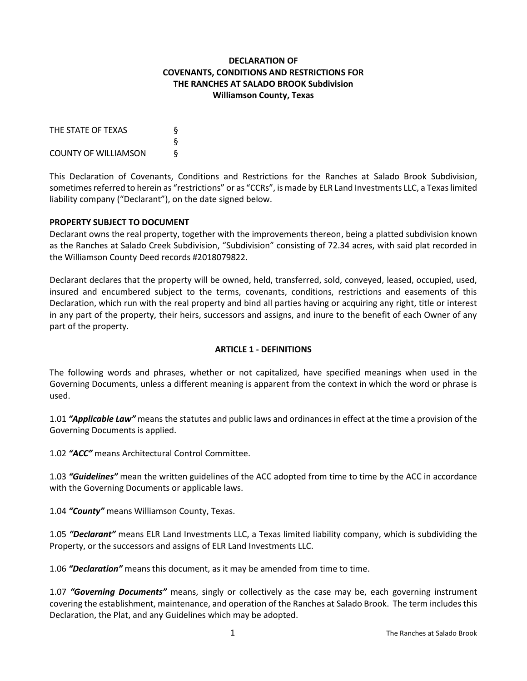## **DECLARATION OF COVENANTS, CONDITIONS AND RESTRICTIONS FOR THE RANCHES AT SALADO BROOK Subdivision Williamson County, Texas**

| THE STATE OF TEXAS          | δ |
|-----------------------------|---|
|                             | δ |
| <b>COUNTY OF WILLIAMSON</b> | ξ |

This Declaration of Covenants, Conditions and Restrictions for the Ranches at Salado Brook Subdivision, sometimes referred to herein as "restrictions" or as "CCRs", is made by ELR Land Investments LLC, a Texas limited liability company ("Declarant"), on the date signed below.

#### **PROPERTY SUBJECT TO DOCUMENT**

Declarant owns the real property, together with the improvements thereon, being a platted subdivision known as the Ranches at Salado Creek Subdivision, "Subdivision" consisting of 72.34 acres, with said plat recorded in the Williamson County Deed records #2018079822.

Declarant declares that the property will be owned, held, transferred, sold, conveyed, leased, occupied, used, insured and encumbered subject to the terms, covenants, conditions, restrictions and easements of this Declaration, which run with the real property and bind all parties having or acquiring any right, title or interest in any part of the property, their heirs, successors and assigns, and inure to the benefit of each Owner of any part of the property.

#### **ARTICLE 1 - DEFINITIONS**

The following words and phrases, whether or not capitalized, have specified meanings when used in the Governing Documents, unless a different meaning is apparent from the context in which the word or phrase is used.

1.01 *"Applicable Law"* means the statutes and public laws and ordinances in effect at the time a provision of the Governing Documents is applied.

1.02 *"ACC"* means Architectural Control Committee.

1.03 *"Guidelines"* mean the written guidelines of the ACC adopted from time to time by the ACC in accordance with the Governing Documents or applicable laws.

1.04 *"County"* means Williamson County, Texas.

1.05 *"Declarant"* means ELR Land Investments LLC, a Texas limited liability company, which is subdividing the Property, or the successors and assigns of ELR Land Investments LLC.

1.06 *"Declaration"* means this document, as it may be amended from time to time.

1.07 *"Governing Documents"* means, singly or collectively as the case may be, each governing instrument covering the establishment, maintenance, and operation of the Ranches at Salado Brook. The term includes this Declaration, the Plat, and any Guidelines which may be adopted.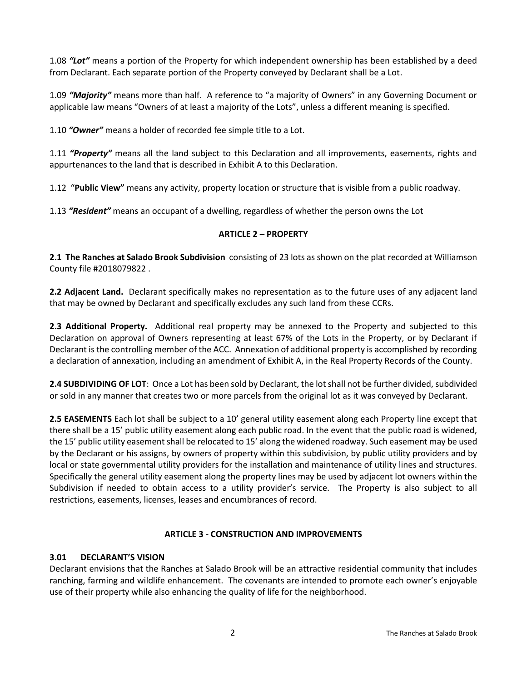1.08 *"Lot"* means a portion of the Property for which independent ownership has been established by a deed from Declarant. Each separate portion of the Property conveyed by Declarant shall be a Lot.

1.09 *"Majority"* means more than half. A reference to "a majority of Owners" in any Governing Document or applicable law means "Owners of at least a majority of the Lots", unless a different meaning is specified.

1.10 *"Owner"* means a holder of recorded fee simple title to a Lot.

1.11 *"Property"* means all the land subject to this Declaration and all improvements, easements, rights and appurtenances to the land that is described in Exhibit A to this Declaration.

1.12 "**Public View"** means any activity, property location or structure that is visible from a public roadway.

1.13 *"Resident"* means an occupant of a dwelling, regardless of whether the person owns the Lot

#### **ARTICLE 2 – PROPERTY**

**2.1 The Ranches at Salado Brook Subdivision** consisting of 23 lots as shown on the plat recorded at Williamson County file #2018079822 .

**2.2 Adjacent Land.** Declarant specifically makes no representation as to the future uses of any adjacent land that may be owned by Declarant and specifically excludes any such land from these CCRs.

**2.3 Additional Property.** Additional real property may be annexed to the Property and subjected to this Declaration on approval of Owners representing at least 67% of the Lots in the Property, or by Declarant if Declarant is the controlling member of the ACC. Annexation of additional property is accomplished by recording a declaration of annexation, including an amendment of Exhibit A, in the Real Property Records of the County.

**2.4 SUBDIVIDING OF LOT**: Once a Lot has been sold by Declarant, the lot shall not be further divided, subdivided or sold in any manner that creates two or more parcels from the original lot as it was conveyed by Declarant.

**2.5 EASEMENTS** Each lot shall be subject to a 10' general utility easement along each Property line except that there shall be a 15' public utility easement along each public road. In the event that the public road is widened, the 15' public utility easement shall be relocated to 15' along the widened roadway. Such easement may be used by the Declarant or his assigns, by owners of property within this subdivision, by public utility providers and by local or state governmental utility providers for the installation and maintenance of utility lines and structures. Specifically the general utility easement along the property lines may be used by adjacent lot owners within the Subdivision if needed to obtain access to a utility provider's service. The Property is also subject to all restrictions, easements, licenses, leases and encumbrances of record.

#### **ARTICLE 3 - CONSTRUCTION AND IMPROVEMENTS**

#### **3.01 DECLARANT'S VISION**

Declarant envisions that the Ranches at Salado Brook will be an attractive residential community that includes ranching, farming and wildlife enhancement. The covenants are intended to promote each owner's enjoyable use of their property while also enhancing the quality of life for the neighborhood.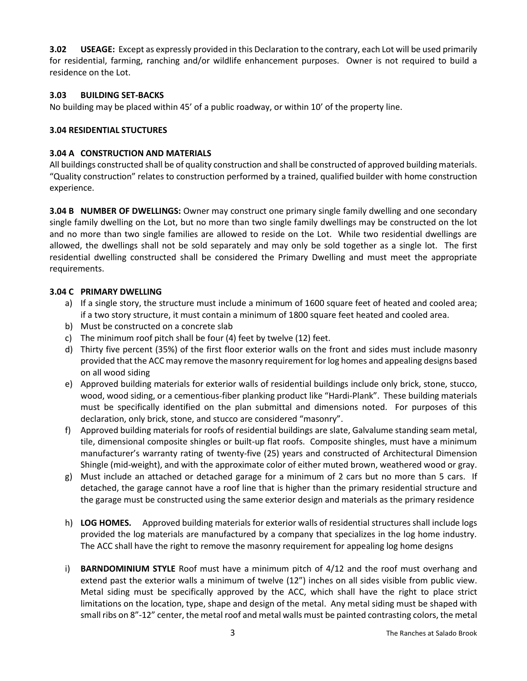**3.02 USEAGE:** Except as expressly provided in this Declaration to the contrary, each Lot will be used primarily for residential, farming, ranching and/or wildlife enhancement purposes. Owner is not required to build a residence on the Lot.

### **3.03 BUILDING SET-BACKS**

No building may be placed within 45' of a public roadway, or within 10' of the property line.

## **3.04 RESIDENTIAL STUCTURES**

### **3.04 A CONSTRUCTION AND MATERIALS**

All buildings constructed shall be of quality construction and shall be constructed of approved building materials. "Quality construction" relates to construction performed by a trained, qualified builder with home construction experience.

**3.04 B NUMBER OF DWELLINGS:** Owner may construct one primary single family dwelling and one secondary single family dwelling on the Lot, but no more than two single family dwellings may be constructed on the lot and no more than two single families are allowed to reside on the Lot. While two residential dwellings are allowed, the dwellings shall not be sold separately and may only be sold together as a single lot. The first residential dwelling constructed shall be considered the Primary Dwelling and must meet the appropriate requirements.

#### **3.04 C PRIMARY DWELLING**

- a) If a single story, the structure must include a minimum of 1600 square feet of heated and cooled area; if a two story structure, it must contain a minimum of 1800 square feet heated and cooled area.
- b) Must be constructed on a concrete slab
- c) The minimum roof pitch shall be four (4) feet by twelve (12) feet.
- d) Thirty five percent (35%) of the first floor exterior walls on the front and sides must include masonry provided that the ACC may remove the masonry requirement for log homes and appealing designs based on all wood siding
- e) Approved building materials for exterior walls of residential buildings include only brick, stone, stucco, wood, wood siding, or a cementious-fiber planking product like "Hardi-Plank". These building materials must be specifically identified on the plan submittal and dimensions noted. For purposes of this declaration, only brick, stone, and stucco are considered "masonry".
- f) Approved building materials for roofs of residential buildings are slate, Galvalume standing seam metal, tile, dimensional composite shingles or built-up flat roofs. Composite shingles, must have a minimum manufacturer's warranty rating of twenty-five (25) years and constructed of Architectural Dimension Shingle (mid-weight), and with the approximate color of either muted brown, weathered wood or gray.
- g) Must include an attached or detached garage for a minimum of 2 cars but no more than 5 cars. If detached, the garage cannot have a roof line that is higher than the primary residential structure and the garage must be constructed using the same exterior design and materials as the primary residence
- h) **LOG HOMES.** Approved building materials for exterior walls of residential structures shall include logs provided the log materials are manufactured by a company that specializes in the log home industry. The ACC shall have the right to remove the masonry requirement for appealing log home designs
- i) **BARNDOMINIUM STYLE** Roof must have a minimum pitch of 4/12 and the roof must overhang and extend past the exterior walls a minimum of twelve (12") inches on all sides visible from public view. Metal siding must be specifically approved by the ACC, which shall have the right to place strict limitations on the location, type, shape and design of the metal. Any metal siding must be shaped with small ribs on 8"-12" center, the metal roof and metal walls must be painted contrasting colors, the metal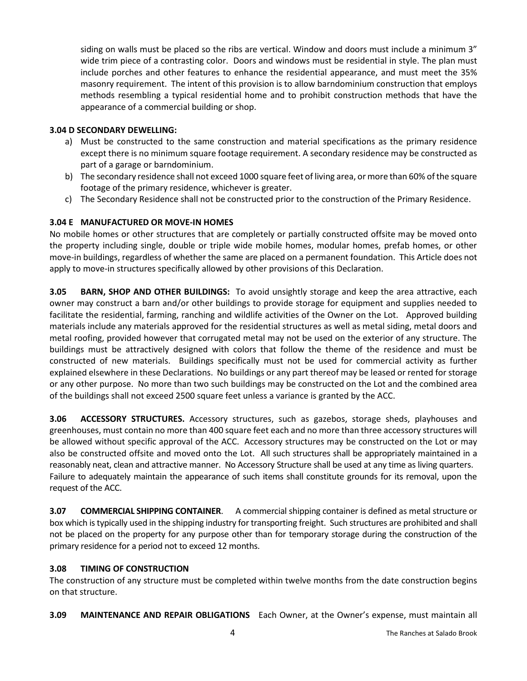siding on walls must be placed so the ribs are vertical. Window and doors must include a minimum 3" wide trim piece of a contrasting color. Doors and windows must be residential in style. The plan must include porches and other features to enhance the residential appearance, and must meet the 35% masonry requirement. The intent of this provision is to allow barndominium construction that employs methods resembling a typical residential home and to prohibit construction methods that have the appearance of a commercial building or shop.

#### **3.04 D SECONDARY DEWELLING:**

- a) Must be constructed to the same construction and material specifications as the primary residence except there is no minimum square footage requirement. A secondary residence may be constructed as part of a garage or barndominium.
- b) The secondary residence shall not exceed 1000 square feet of living area, or more than 60% of the square footage of the primary residence, whichever is greater.
- c) The Secondary Residence shall not be constructed prior to the construction of the Primary Residence.

#### **3.04 E MANUFACTURED OR MOVE-IN HOMES**

No mobile homes or other structures that are completely or partially constructed offsite may be moved onto the property including single, double or triple wide mobile homes, modular homes, prefab homes, or other move-in buildings, regardless of whether the same are placed on a permanent foundation. This Article does not apply to move-in structures specifically allowed by other provisions of this Declaration.

**3.05 BARN, SHOP AND OTHER BUILDINGS:** To avoid unsightly storage and keep the area attractive, each owner may construct a barn and/or other buildings to provide storage for equipment and supplies needed to facilitate the residential, farming, ranching and wildlife activities of the Owner on the Lot. Approved building materials include any materials approved for the residential structures as well as metal siding, metal doors and metal roofing, provided however that corrugated metal may not be used on the exterior of any structure. The buildings must be attractively designed with colors that follow the theme of the residence and must be constructed of new materials. Buildings specifically must not be used for commercial activity as further explained elsewhere in these Declarations. No buildings or any part thereof may be leased or rented for storage or any other purpose. No more than two such buildings may be constructed on the Lot and the combined area of the buildings shall not exceed 2500 square feet unless a variance is granted by the ACC.

**3.06 ACCESSORY STRUCTURES.** Accessory structures, such as gazebos, storage sheds, playhouses and greenhouses, must contain no more than 400 square feet each and no more than three accessory structures will be allowed without specific approval of the ACC. Accessory structures may be constructed on the Lot or may also be constructed offsite and moved onto the Lot. All such structures shall be appropriately maintained in a reasonably neat, clean and attractive manner. No Accessory Structure shall be used at any time as living quarters. Failure to adequately maintain the appearance of such items shall constitute grounds for its removal, upon the request of the ACC.

**3.07 COMMERCIAL SHIPPING CONTAINER**. A commercial shipping container is defined as metal structure or box which is typically used in the shipping industry for transporting freight. Such structures are prohibited and shall not be placed on the property for any purpose other than for temporary storage during the construction of the primary residence for a period not to exceed 12 months.

#### **3.08 TIMING OF CONSTRUCTION**

The construction of any structure must be completed within twelve months from the date construction begins on that structure.

**3.09 MAINTENANCE AND REPAIR OBLIGATIONS** Each Owner, at the Owner's expense, must maintain all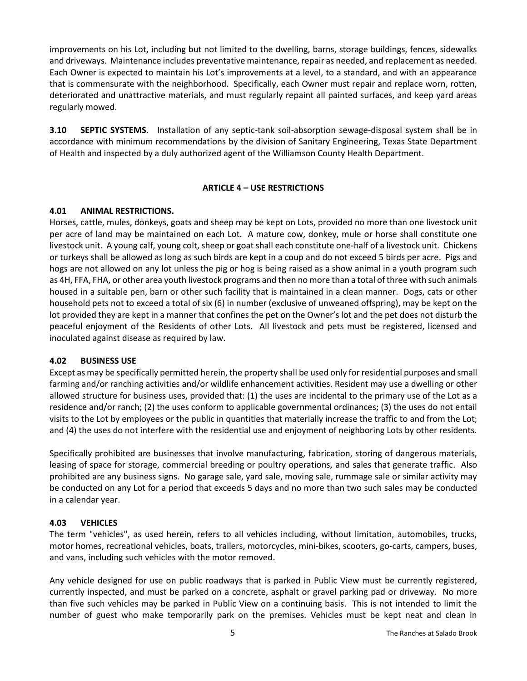improvements on his Lot, including but not limited to the dwelling, barns, storage buildings, fences, sidewalks and driveways. Maintenance includes preventative maintenance, repair as needed, and replacement as needed. Each Owner is expected to maintain his Lot's improvements at a level, to a standard, and with an appearance that is commensurate with the neighborhood. Specifically, each Owner must repair and replace worn, rotten, deteriorated and unattractive materials, and must regularly repaint all painted surfaces, and keep yard areas regularly mowed.

**3.10 SEPTIC SYSTEMS**. Installation of any septic-tank soil-absorption sewage-disposal system shall be in accordance with minimum recommendations by the division of Sanitary Engineering, Texas State Department of Health and inspected by a duly authorized agent of the Williamson County Health Department.

#### **ARTICLE 4 – USE RESTRICTIONS**

#### **4.01 ANIMAL RESTRICTIONS.**

Horses, cattle, mules, donkeys, goats and sheep may be kept on Lots, provided no more than one livestock unit per acre of land may be maintained on each Lot. A mature cow, donkey, mule or horse shall constitute one livestock unit. A young calf, young colt, sheep or goatshall each constitute one-half of a livestock unit. Chickens or turkeys shall be allowed as long as such birds are kept in a coup and do not exceed 5 birds per acre. Pigs and hogs are not allowed on any lot unless the pig or hog is being raised as a show animal in a youth program such as 4H, FFA, FHA, or other area youth livestock programs and then no more than a total of three with such animals housed in a suitable pen, barn or other such facility that is maintained in a clean manner. Dogs, cats or other household pets not to exceed a total of six (6) in number (exclusive of unweaned offspring), may be kept on the lot provided they are kept in a manner that confines the pet on the Owner's lot and the pet does not disturb the peaceful enjoyment of the Residents of other Lots. All livestock and pets must be registered, licensed and inoculated against disease as required by law.

#### **4.02 BUSINESS USE**

Except as may be specifically permitted herein, the property shall be used only for residential purposes and small farming and/or ranching activities and/or wildlife enhancement activities. Resident may use a dwelling or other allowed structure for business uses, provided that: (1) the uses are incidental to the primary use of the Lot as a residence and/or ranch; (2) the uses conform to applicable governmental ordinances; (3) the uses do not entail visits to the Lot by employees or the public in quantities that materially increase the traffic to and from the Lot; and (4) the uses do not interfere with the residential use and enjoyment of neighboring Lots by other residents.

Specifically prohibited are businesses that involve manufacturing, fabrication, storing of dangerous materials, leasing of space for storage, commercial breeding or poultry operations, and sales that generate traffic. Also prohibited are any business signs. No garage sale, yard sale, moving sale, rummage sale or similar activity may be conducted on any Lot for a period that exceeds 5 days and no more than two such sales may be conducted in a calendar year.

#### **4.03 VEHICLES**

The term "vehicles", as used herein, refers to all vehicles including, without limitation, automobiles, trucks, motor homes, recreational vehicles, boats, trailers, motorcycles, mini-bikes, scooters, go-carts, campers, buses, and vans, including such vehicles with the motor removed.

Any vehicle designed for use on public roadways that is parked in Public View must be currently registered, currently inspected, and must be parked on a concrete, asphalt or gravel parking pad or driveway. No more than five such vehicles may be parked in Public View on a continuing basis. This is not intended to limit the number of guest who make temporarily park on the premises. Vehicles must be kept neat and clean in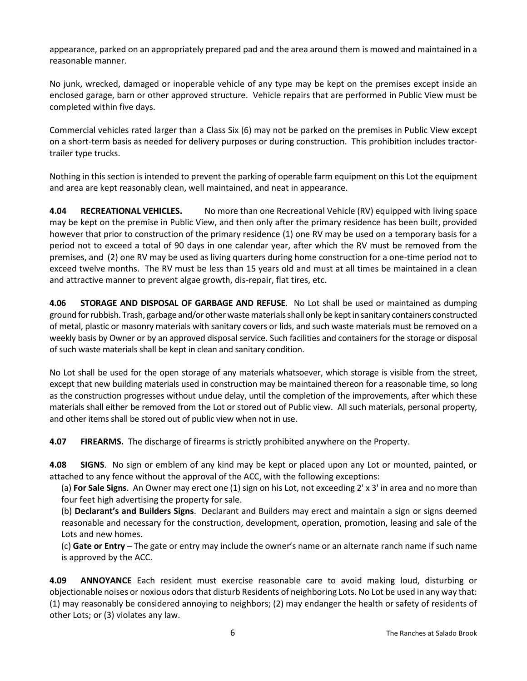appearance, parked on an appropriately prepared pad and the area around them is mowed and maintained in a reasonable manner.

No junk, wrecked, damaged or inoperable vehicle of any type may be kept on the premises except inside an enclosed garage, barn or other approved structure. Vehicle repairs that are performed in Public View must be completed within five days.

Commercial vehicles rated larger than a Class Six (6) may not be parked on the premises in Public View except on a short-term basis as needed for delivery purposes or during construction. This prohibition includes tractortrailer type trucks.

Nothing in this section is intended to prevent the parking of operable farm equipment on this Lot the equipment and area are kept reasonably clean, well maintained, and neat in appearance.

**4.04 RECREATIONAL VEHICLES.** No more than one Recreational Vehicle (RV) equipped with living space may be kept on the premise in Public View, and then only after the primary residence has been built, provided however that prior to construction of the primary residence (1) one RV may be used on a temporary basis for a period not to exceed a total of 90 days in one calendar year, after which the RV must be removed from the premises, and (2) one RV may be used as living quarters during home construction for a one-time period not to exceed twelve months. The RV must be less than 15 years old and must at all times be maintained in a clean and attractive manner to prevent algae growth, dis-repair, flat tires, etc.

**4.06 STORAGE AND DISPOSAL OF GARBAGE AND REFUSE**. No Lot shall be used or maintained as dumping ground for rubbish. Trash, garbage and/or other waste materials shall only be kept in sanitary containers constructed of metal, plastic or masonry materials with sanitary covers or lids, and such waste materials must be removed on a weekly basis by Owner or by an approved disposal service. Such facilities and containers for the storage or disposal of such waste materials shall be kept in clean and sanitary condition.

No Lot shall be used for the open storage of any materials whatsoever, which storage is visible from the street, except that new building materials used in construction may be maintained thereon for a reasonable time, so long as the construction progresses without undue delay, until the completion of the improvements, after which these materials shall either be removed from the Lot or stored out of Public view. All such materials, personal property, and other items shall be stored out of public view when not in use.

**4.07 FIREARMS.** The discharge of firearms is strictly prohibited anywhere on the Property.

**4.08 SIGNS**. No sign or emblem of any kind may be kept or placed upon any Lot or mounted, painted, or attached to any fence without the approval of the ACC, with the following exceptions:

(a) **For Sale Signs**. An Owner may erect one (1) sign on his Lot, not exceeding 2' x 3' in area and no more than four feet high advertising the property for sale.

(b) **Declarant's and Builders Signs**. Declarant and Builders may erect and maintain a sign or signs deemed reasonable and necessary for the construction, development, operation, promotion, leasing and sale of the Lots and new homes.

(c) **Gate or Entry** – The gate or entry may include the owner's name or an alternate ranch name if such name is approved by the ACC.

**4.09 ANNOYANCE** Each resident must exercise reasonable care to avoid making loud, disturbing or objectionable noises or noxious odors that disturb Residents of neighboring Lots. No Lot be used in any way that: (1) may reasonably be considered annoying to neighbors; (2) may endanger the health or safety of residents of other Lots; or (3) violates any law.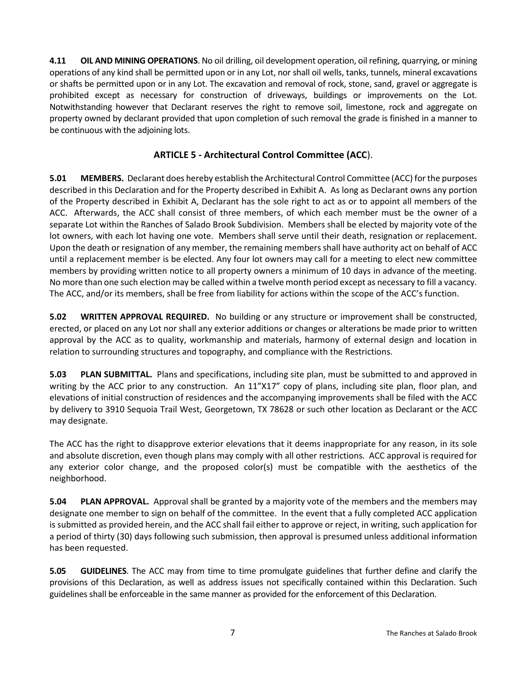**4.11 OIL AND MINING OPERATIONS**. No oil drilling, oil development operation, oil refining, quarrying, or mining operations of any kind shall be permitted upon or in any Lot, nor shall oil wells, tanks, tunnels, mineral excavations or shafts be permitted upon or in any Lot. The excavation and removal of rock, stone, sand, gravel or aggregate is prohibited except as necessary for construction of driveways, buildings or improvements on the Lot. Notwithstanding however that Declarant reserves the right to remove soil, limestone, rock and aggregate on property owned by declarant provided that upon completion of such removal the grade is finished in a manner to be continuous with the adjoining lots.

# **ARTICLE 5 - Architectural Control Committee (ACC**).

**5.01 MEMBERS.** Declarant does hereby establish the Architectural Control Committee (ACC) for the purposes described in this Declaration and for the Property described in Exhibit A. As long as Declarant owns any portion of the Property described in Exhibit A, Declarant has the sole right to act as or to appoint all members of the ACC. Afterwards, the ACC shall consist of three members, of which each member must be the owner of a separate Lot within the Ranches of Salado Brook Subdivision. Members shall be elected by majority vote of the lot owners, with each lot having one vote. Members shall serve until their death, resignation or replacement. Upon the death or resignation of any member, the remaining members shall have authority act on behalf of ACC until a replacement member is be elected. Any four lot owners may call for a meeting to elect new committee members by providing written notice to all property owners a minimum of 10 days in advance of the meeting. No more than one such election may be called within a twelve month period except as necessary to fill a vacancy. The ACC, and/or its members, shall be free from liability for actions within the scope of the ACC's function.

**5.02 WRITTEN APPROVAL REQUIRED.** No building or any structure or improvement shall be constructed, erected, or placed on any Lot nor shall any exterior additions or changes or alterations be made prior to written approval by the ACC as to quality, workmanship and materials, harmony of external design and location in relation to surrounding structures and topography, and compliance with the Restrictions.

**5.03 PLAN SUBMITTAL.** Plans and specifications, including site plan, must be submitted to and approved in writing by the ACC prior to any construction. An 11"X17" copy of plans, including site plan, floor plan, and elevations of initial construction of residences and the accompanying improvements shall be filed with the ACC by delivery to 3910 Sequoia Trail West, Georgetown, TX 78628 or such other location as Declarant or the ACC may designate.

The ACC has the right to disapprove exterior elevations that it deems inappropriate for any reason, in its sole and absolute discretion, even though plans may comply with all other restrictions. ACC approval is required for any exterior color change, and the proposed color(s) must be compatible with the aesthetics of the neighborhood.

**5.04 PLAN APPROVAL.** Approval shall be granted by a majority vote of the members and the members may designate one member to sign on behalf of the committee. In the event that a fully completed ACC application is submitted as provided herein, and the ACC shall fail either to approve or reject, in writing, such application for a period of thirty (30) days following such submission, then approval is presumed unless additional information has been requested.

**5.05 GUIDELINES**. The ACC may from time to time promulgate guidelines that further define and clarify the provisions of this Declaration, as well as address issues not specifically contained within this Declaration. Such guidelines shall be enforceable in the same manner as provided for the enforcement of this Declaration.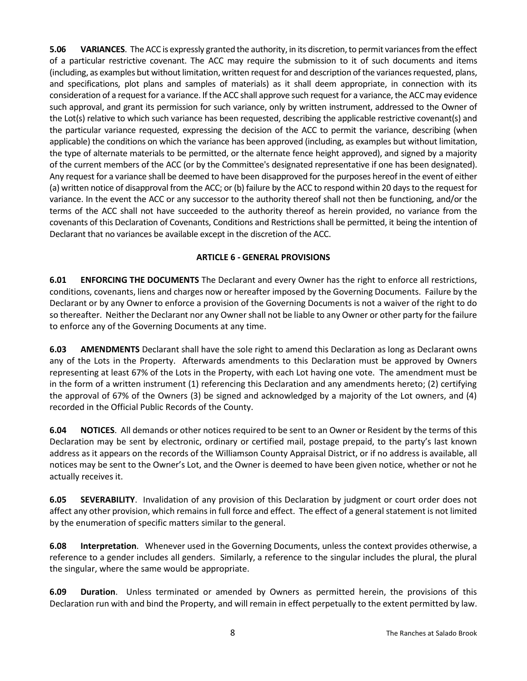**5.06 VARIANCES**. The ACC is expressly granted the authority, in its discretion, to permit variances from the effect of a particular restrictive covenant. The ACC may require the submission to it of such documents and items (including, as examples but without limitation, written request for and description of the variances requested, plans, and specifications, plot plans and samples of materials) as it shall deem appropriate, in connection with its consideration of a request for a variance. If the ACC shall approve such request for a variance, the ACC may evidence such approval, and grant its permission for such variance, only by written instrument, addressed to the Owner of the Lot(s) relative to which such variance has been requested, describing the applicable restrictive covenant(s) and the particular variance requested, expressing the decision of the ACC to permit the variance, describing (when applicable) the conditions on which the variance has been approved (including, as examples but without limitation, the type of alternate materials to be permitted, or the alternate fence height approved), and signed by a majority of the current members of the ACC (or by the Committee's designated representative if one has been designated). Any request for a variance shall be deemed to have been disapproved for the purposes hereof in the event of either (a) written notice of disapproval from the ACC; or (b) failure by the ACC to respond within 20 days to the request for variance. In the event the ACC or any successor to the authority thereof shall not then be functioning, and/or the terms of the ACC shall not have succeeded to the authority thereof as herein provided, no variance from the covenants of this Declaration of Covenants, Conditions and Restrictions shall be permitted, it being the intention of Declarant that no variances be available except in the discretion of the ACC.

## **ARTICLE 6 - GENERAL PROVISIONS**

**6.01 ENFORCING THE DOCUMENTS** The Declarant and every Owner has the right to enforce all restrictions, conditions, covenants, liens and charges now or hereafter imposed by the Governing Documents. Failure by the Declarant or by any Owner to enforce a provision of the Governing Documents is not a waiver of the right to do so thereafter. Neither the Declarant nor any Owner shall not be liable to any Owner or other party for the failure to enforce any of the Governing Documents at any time.

**6.03 AMENDMENTS** Declarant shall have the sole right to amend this Declaration as long as Declarant owns any of the Lots in the Property. Afterwards amendments to this Declaration must be approved by Owners representing at least 67% of the Lots in the Property, with each Lot having one vote. The amendment must be in the form of a written instrument (1) referencing this Declaration and any amendments hereto; (2) certifying the approval of 67% of the Owners (3) be signed and acknowledged by a majority of the Lot owners, and (4) recorded in the Official Public Records of the County.

**6.04 NOTICES**. All demands or other notices required to be sent to an Owner or Resident by the terms of this Declaration may be sent by electronic, ordinary or certified mail, postage prepaid, to the party's last known address as it appears on the records of the Williamson County Appraisal District, or if no address is available, all notices may be sent to the Owner's Lot, and the Owner is deemed to have been given notice, whether or not he actually receives it.

**6.05 SEVERABILITY**. Invalidation of any provision of this Declaration by judgment or court order does not affect any other provision, which remains in full force and effect. The effect of a general statement is not limited by the enumeration of specific matters similar to the general.

**6.08 Interpretation**. Whenever used in the Governing Documents, unless the context provides otherwise, a reference to a gender includes all genders. Similarly, a reference to the singular includes the plural, the plural the singular, where the same would be appropriate.

**6.09 Duration**. Unless terminated or amended by Owners as permitted herein, the provisions of this Declaration run with and bind the Property, and will remain in effect perpetually to the extent permitted by law.